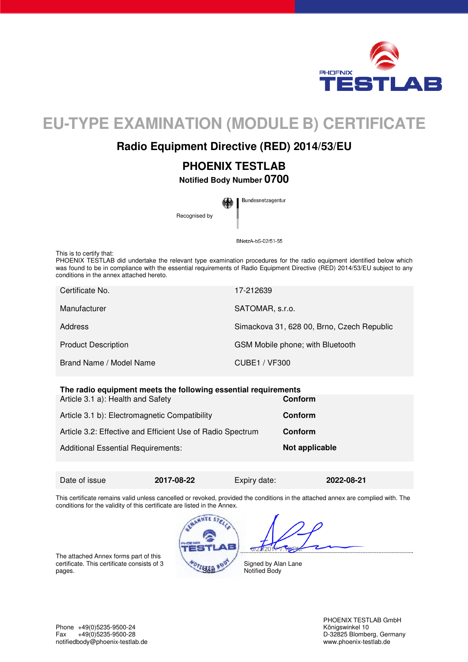

# **EU-TYPE EXAMINATION (MODULE B) CERTIFICATE**

## **Radio Equipment Directive (RED) 2014/53/EU**

# **PHOENIX TESTLAB**

**Notified Body Number 0700** 

Bundesnetzagentur Recognised by

BNetzA-bS-02/51-55

This is to certify that:

PHOENIX TESTLAB did undertake the relevant type examination procedures for the radio equipment identified below which was found to be in compliance with the essential requirements of Radio Equipment Directive (RED) 2014/53/EU subject to any conditions in the annex attached hereto.

| Certificate No.            | 17-212639                                  |
|----------------------------|--------------------------------------------|
| Manufacturer               | SATOMAR, s.r.o.                            |
| Address                    | Simackova 31, 628 00, Brno, Czech Republic |
| <b>Product Description</b> | GSM Mobile phone; with Bluetooth           |
| Brand Name / Model Name    | CUBE1 / VF300                              |

#### **The radio equipment meets the following essential requirements**

| Article 3.1 a): Health and Safety                          | <b>Conform</b> |
|------------------------------------------------------------|----------------|
| Article 3.1 b): Electromagnetic Compatibility              | <b>Conform</b> |
| Article 3.2: Effective and Efficient Use of Radio Spectrum | <b>Conform</b> |
| <b>Additional Essential Requirements:</b>                  | Not applicable |
|                                                            |                |

Date of issue **2017-08-22** Expiry date: **2022-08-21** 

Ì

This certificate remains valid unless cancelled or revoked, provided the conditions in the attached annex are complied with. The conditions for the validity of this certificate are listed in the Annex.

The attached Annex forms part of this certificate. This certificate consists of 3 pages.

**SANNEST** 

Signed by Alan Lane Notified Body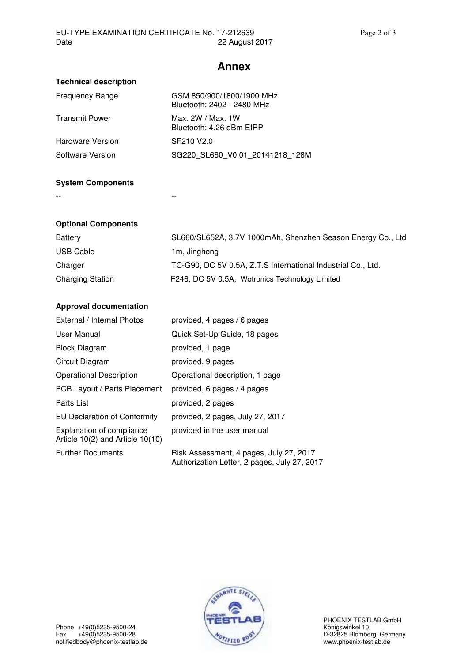### **Annex**

| <b>Technical description</b> |                                                         |
|------------------------------|---------------------------------------------------------|
| <b>Frequency Range</b>       | GSM 850/900/1800/1900 MHz<br>Bluetooth: 2402 - 2480 MHz |
| <b>Transmit Power</b>        | Max. 2W / Max. 1W<br>Bluetooth: 4.26 dBm EIRP           |
| <b>Hardware Version</b>      | SF210 V2.0                                              |
| Software Version             | SG220 SL660 V0.01 20141218 128M                         |

#### **System Components**

-- --

#### **Optional Components**

| Battery                 | SL660/SL652A, 3.7V 1000mAh, Shenzhen Season Energy Co., Ltd  |
|-------------------------|--------------------------------------------------------------|
| USB Cable               | 1m, Jinghong                                                 |
| Charger                 | TC-G90, DC 5V 0.5A, Z.T.S International Industrial Co., Ltd. |
| <b>Charging Station</b> | F246, DC 5V 0.5A, Wotronics Technology Limited               |

#### **Approval documentation**

| External / Internal Photos                                               | provided, 4 pages / 6 pages                                                             |
|--------------------------------------------------------------------------|-----------------------------------------------------------------------------------------|
| User Manual                                                              | Quick Set-Up Guide, 18 pages                                                            |
| <b>Block Diagram</b>                                                     | provided, 1 page                                                                        |
| Circuit Diagram                                                          | provided, 9 pages                                                                       |
| <b>Operational Description</b>                                           | Operational description, 1 page                                                         |
| PCB Layout / Parts Placement                                             | provided, 6 pages / 4 pages                                                             |
| Parts List                                                               | provided, 2 pages                                                                       |
| EU Declaration of Conformity                                             | provided, 2 pages, July 27, 2017                                                        |
| <b>Explanation of compliance</b><br>Article $10(2)$ and Article $10(10)$ | provided in the user manual                                                             |
| <b>Further Documents</b>                                                 | Risk Assessment, 4 pages, July 27, 2017<br>Authorization Letter, 2 pages, July 27, 2017 |